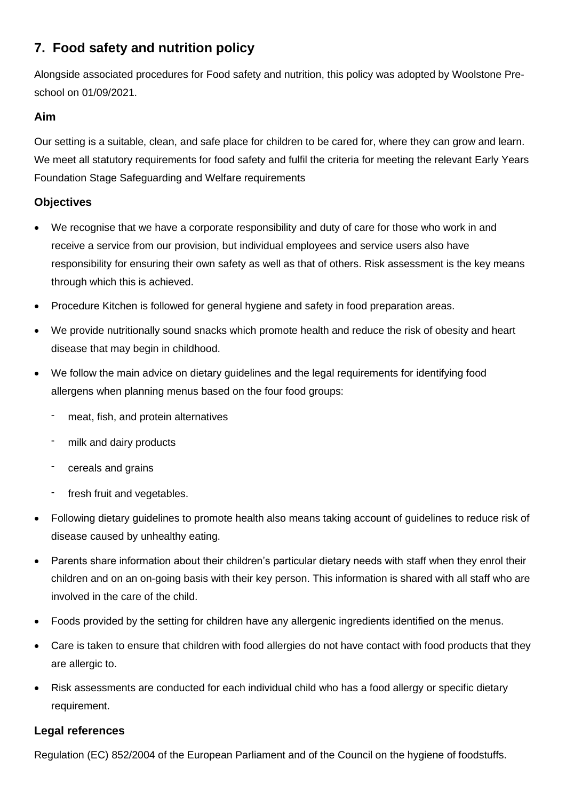# **7. Food safety and nutrition policy**

Alongside associated procedures for Food safety and nutrition, this policy was adopted by Woolstone Preschool on 01/09/2021.

## **Aim**

Our setting is a suitable, clean, and safe place for children to be cared for, where they can grow and learn. We meet all statutory requirements for food safety and fulfil the criteria for meeting the relevant Early Years Foundation Stage Safeguarding and Welfare requirements

## **Objectives**

- We recognise that we have a corporate responsibility and duty of care for those who work in and receive a service from our provision, but individual employees and service users also have responsibility for ensuring their own safety as well as that of others. Risk assessment is the key means through which this is achieved.
- Procedure Kitchen is followed for general hygiene and safety in food preparation areas.
- We provide nutritionally sound snacks which promote health and reduce the risk of obesity and heart disease that may begin in childhood.
- We follow the main advice on dietary guidelines and the legal requirements for identifying food allergens when planning menus based on the four food groups:
	- meat, fish, and protein alternatives
	- milk and dairy products
	- cereals and grains
	- fresh fruit and vegetables.
- Following dietary guidelines to promote health also means taking account of guidelines to reduce risk of disease caused by unhealthy eating.
- Parents share information about their children's particular dietary needs with staff when they enrol their children and on an on-going basis with their key person. This information is shared with all staff who are involved in the care of the child.
- Foods provided by the setting for children have any allergenic ingredients identified on the menus.
- Care is taken to ensure that children with food allergies do not have contact with food products that they are allergic to.
- Risk assessments are conducted for each individual child who has a food allergy or specific dietary requirement.

## **Legal references**

Regulation (EC) 852/2004 of the European Parliament and of the Council on the hygiene of foodstuffs.